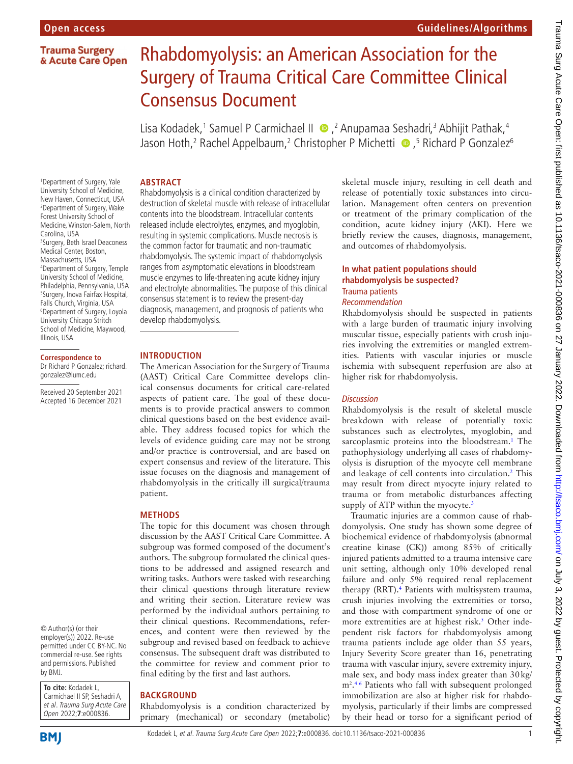**Trauma Surgery** & Acute Care Open

# Rhabdomyolysis: an American Association for the Surgery of Trauma Critical Care Committee Clinical Consensus Document

Lisa Kodadek,<sup>1</sup> Samuel P Carmichael II • ,<sup>2</sup> Anupamaa Seshadri,<sup>3</sup> Abhijit Pathak,<sup>4</sup> Jason Hoth,<sup>2</sup> Rachel Appelbaum,<sup>2</sup> Christopher P Michetti •,<sup>5</sup> Richard P Gonzalez<sup>6</sup>

# **ABSTRACT** Rhabdomyolysis is a clinical condition characterized by

1 Department of Surgery, Yale University School of Medicine, New Haven, Connecticut, USA 2 Department of Surgery, Wake Forest University School of Medicine, Winston-Salem, North Carolina, USA 3 Surgery, Beth Israel Deaconess Medical Center, Boston, Massachusetts, USA 4 Department of Surgery, Temple University School of Medicine, Philadelphia, Pennsylvania, USA 5 Surgery, Inova Fairfax Hospital, Falls Church, Virginia, USA 6 Department of Surgery, Loyola University Chicago Stritch School of Medicine, Maywood, Illinois, USA

# **Correspondence to**

Dr Richard P Gonzalez; richard. gonzalez@lumc.edu

Received 20 September 2021 Accepted 16 December 2021

© Author(s) (or their employer(s)) 2022. Re-use permitted under CC BY-NC. No commercial re-use. See rights and permissions. Published by BMJ.

**To cite:** Kodadek L, Carmichael II SP, Seshadri A, et al. Trauma Surg Acute Care Open 2022;**7**:e000836.

**INTRODUCTION**

develop rhabdomyolysis.

The American Association for the Surgery of Trauma (AAST) Critical Care Committee develops clinical consensus documents for critical care-related aspects of patient care. The goal of these documents is to provide practical answers to common clinical questions based on the best evidence available. They address focused topics for which the levels of evidence guiding care may not be strong and/or practice is controversial, and are based on expert consensus and review of the literature. This issue focuses on the diagnosis and management of rhabdomyolysis in the critically ill surgical/trauma patient.

destruction of skeletal muscle with release of intracellular contents into the bloodstream. Intracellular contents released include electrolytes, enzymes, and myoglobin, resulting in systemic complications. Muscle necrosis is the common factor for traumatic and non-traumatic rhabdomyolysis. The systemic impact of rhabdomyolysis ranges from asymptomatic elevations in bloodstream muscle enzymes to life-threatening acute kidney injury and electrolyte abnormalities. The purpose of this clinical consensus statement is to review the present-day diagnosis, management, and prognosis of patients who

# **METHODS**

The topic for this document was chosen through discussion by the AAST Critical Care Committee. A subgroup was formed composed of the document's authors. The subgroup formulated the clinical questions to be addressed and assigned research and writing tasks. Authors were tasked with researching their clinical questions through literature review and writing their section. Literature review was performed by the individual authors pertaining to their clinical questions. Recommendations, references, and content were then reviewed by the subgroup and revised based on feedback to achieve consensus. The subsequent draft was distributed to the committee for review and comment prior to final editing by the first and last authors.

# **BACKGROUND**

Rhabdomyolysis is a condition characterized by primary (mechanical) or secondary (metabolic)

skeletal muscle injury, resulting in cell death and release of potentially toxic substances into circulation. Management often centers on prevention or treatment of the primary complication of the condition, acute kidney injury (AKI). Here we briefly review the causes, diagnosis, management, and outcomes of rhabdomyolysis.

# **In what patient populations should rhabdomyolysis be suspected?** Trauma patients *Recommendation*

Rhabdomyolysis should be suspected in patients with a large burden of traumatic injury involving muscular tissue, especially patients with crush injuries involving the extremities or mangled extremities. Patients with vascular injuries or muscle ischemia with subsequent reperfusion are also at higher risk for rhabdomyolysis.

# *Discussion*

Rhabdomyolysis is the result of skeletal muscle breakdown with release of potentially toxic substances such as electrolytes, myoglobin, and sarcoplasmic proteins into the bloodstream.<sup>1</sup> The pathophysiology underlying all cases of rhabdomyolysis is disruption of the myocyte cell membrane and leakage of cell contents into circulation.<sup>2</sup> This may result from direct myocyte injury related to trauma or from metabolic disturbances affecting supply of ATP within the myocyte.<sup>[3](#page-5-1)</sup>

Traumatic injuries are a common cause of rhabdomyolysis. One study has shown some degree of biochemical evidence of rhabdomyolysis (abnormal creatine kinase (CK)) among 85% of critically injured patients admitted to a trauma intensive care unit setting, although only 10% developed renal failure and only 5% required renal replacement therapy (RRT).<sup>[4](#page-5-2)</sup> Patients with multisystem trauma, crush injuries involving the extremities or torso, and those with compartment syndrome of one or more extremities are at highest risk.<sup>5</sup> Other independent risk factors for rhabdomyolysis among trauma patients include age older than 55 years, Injury Severity Score greater than 16, penetrating trauma with vascular injury, severe extremity injury, male sex, and body mass index greater than 30kg/ m2 . [4 6](#page-5-2) Patients who fall with subsequent prolonged immobilization are also at higher risk for rhabdomyolysis, particularly if their limbs are compressed by their head or torso for a significant period of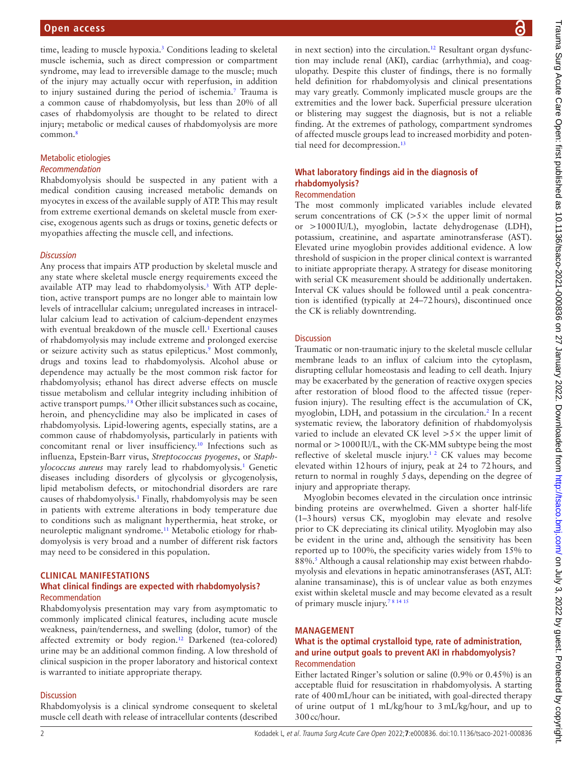time, leading to muscle hypoxia.<sup>[3](#page-5-1)</sup> Conditions leading to skeletal muscle ischemia, such as direct compression or compartment syndrome, may lead to irreversible damage to the muscle; much of the injury may actually occur with reperfusion, in addition to injury sustained during the period of ischemia.[7](#page-5-4) Trauma is a common cause of rhabdomyolysis, but less than 20% of all cases of rhabdomyolysis are thought to be related to direct injury; metabolic or medical causes of rhabdomyolysis are more common.<sup>8</sup>

# Metabolic etiologies

#### *Recommendation*

Rhabdomyolysis should be suspected in any patient with a medical condition causing increased metabolic demands on myocytes in excess of the available supply of ATP. This may result from extreme exertional demands on skeletal muscle from exercise, exogenous agents such as drugs or toxins, genetic defects or myopathies affecting the muscle cell, and infections.

#### *Discussion*

Any process that impairs ATP production by skeletal muscle and any state where skeletal muscle energy requirements exceed the available ATP may lead to rhabdomyolysis.<sup>3</sup> With ATP depletion, active transport pumps are no longer able to maintain low levels of intracellular calcium; unregulated increases in intracellular calcium lead to activation of calcium-dependent enzymes with eventual breakdown of the muscle cell.<sup>1</sup> Exertional causes of rhabdomyolysis may include extreme and prolonged exercise or seizure activity such as status epilepticus.<sup>9</sup> Most commonly, drugs and toxins lead to rhabdomyolysis. Alcohol abuse or dependence may actually be the most common risk factor for rhabdomyolysis; ethanol has direct adverse effects on muscle tissue metabolism and cellular integrity including inhibition of active transport pumps.<sup>38</sup> Other illicit substances such as cocaine, heroin, and phencyclidine may also be implicated in cases of rhabdomyolysis. Lipid-lowering agents, especially statins, are a common cause of rhabdomyolysis, particularly in patients with concomitant renal or liver insufficiency.[10](#page-5-8) Infections such as influenza, Epstein-Barr virus, *Streptococcus pyogenes*, or *Staphylococcus aureus* may rarely lead to rhabdomyolysis.[1](#page-5-6) Genetic diseases including disorders of glycolysis or glycogenolysis, lipid metabolism defects, or mitochondrial disorders are rare causes of rhabdomyolysis.<sup>1</sup> Finally, rhabdomyolysis may be seen in patients with extreme alterations in body temperature due to conditions such as malignant hyperthermia, heat stroke, or neuroleptic malignant syndrome.[11](#page-5-9) Metabolic etiology for rhabdomyolysis is very broad and a number of different risk factors may need to be considered in this population.

### **CLINICAL MANIFESTATIONS**

# **What clinical findings are expected with rhabdomyolysis?** Recommendation

Rhabdomyolysis presentation may vary from asymptomatic to commonly implicated clinical features, including acute muscle weakness, pain/tenderness, and swelling (dolor, tumor) of the affected extremity or body region[.12](#page-5-10) Darkened (tea-colored) urine may be an additional common finding. A low threshold of clinical suspicion in the proper laboratory and historical context is warranted to initiate appropriate therapy.

#### **Discussion**

Rhabdomyolysis is a clinical syndrome consequent to skeletal muscle cell death with release of intracellular contents (described

in next section) into the circulation.<sup>12</sup> Resultant organ dysfunction may include renal (AKI), cardiac (arrhythmia), and coagulopathy. Despite this cluster of findings, there is no formally held definition for rhabdomyolysis and clinical presentations may vary greatly. Commonly implicated muscle groups are the extremities and the lower back. Superficial pressure ulceration or blistering may suggest the diagnosis, but is not a reliable finding. At the extremes of pathology, compartment syndromes of affected muscle groups lead to increased morbidity and potential need for decompression[.13](#page-5-11)

# **What laboratory findings aid in the diagnosis of rhabdomyolysis?**

# Recommendation

The most commonly implicated variables include elevated serum concentrations of  $CK$  ( $>>$  the upper limit of normal or >1000IU/L), myoglobin, lactate dehydrogenase (LDH), potassium, creatinine, and aspartate aminotransferase (AST). Elevated urine myoglobin provides additional evidence. A low threshold of suspicion in the proper clinical context is warranted to initiate appropriate therapy. A strategy for disease monitoring with serial CK measurement should be additionally undertaken. Interval CK values should be followed until a peak concentration is identified (typically at 24–72hours), discontinued once the CK is reliably downtrending.

### **Discussion**

Traumatic or non-traumatic injury to the skeletal muscle cellular membrane leads to an influx of calcium into the cytoplasm, disrupting cellular homeostasis and leading to cell death. Injury may be exacerbated by the generation of reactive oxygen species after restoration of blood flood to the affected tissue (reperfusion injury). The resulting effect is the accumulation of CK, myoglobin, LDH, and potassium in the circulation.<sup>[2](#page-5-0)</sup> In a recent systematic review, the laboratory definition of rhabdomyolysis varied to include an elevated CK level  $>5\times$  the upper limit of normal or >1000IU/L, with the CK-MM subtype being the most reflective of skeletal muscle injury.<sup>12</sup> CK values may become elevated within 12hours of injury, peak at 24 to 72hours, and return to normal in roughly 5days, depending on the degree of injury and appropriate therapy.

Myoglobin becomes elevated in the circulation once intrinsic binding proteins are overwhelmed. Given a shorter half-life (1–3hours) versus CK, myoglobin may elevate and resolve prior to CK depreciating its clinical utility. Myoglobin may also be evident in the urine and, although the sensitivity has been reported up to 100%, the specificity varies widely from 15% to 88%.<sup>5</sup> Although a causal relationship may exist between rhabdomyolysis and elevations in hepatic aminotransferases (AST, ALT: alanine transaminase), this is of unclear value as both enzymes exist within skeletal muscle and may become elevated as a result of primary muscle injury[.7 8 14 15](#page-5-4)

#### **MANAGEMENT**

# **What is the optimal crystalloid type, rate of administration, and urine output goals to prevent AKI in rhabdomyolysis?** Recommendation

Either lactated Ringer's solution or saline (0.9% or 0.45%) is an acceptable fluid for resuscitation in rhabdomyolysis. A starting rate of 400mL/hour can be initiated, with goal-directed therapy of urine output of 1 mL/kg/hour to 3mL/kg/hour, and up to 300cc/hour.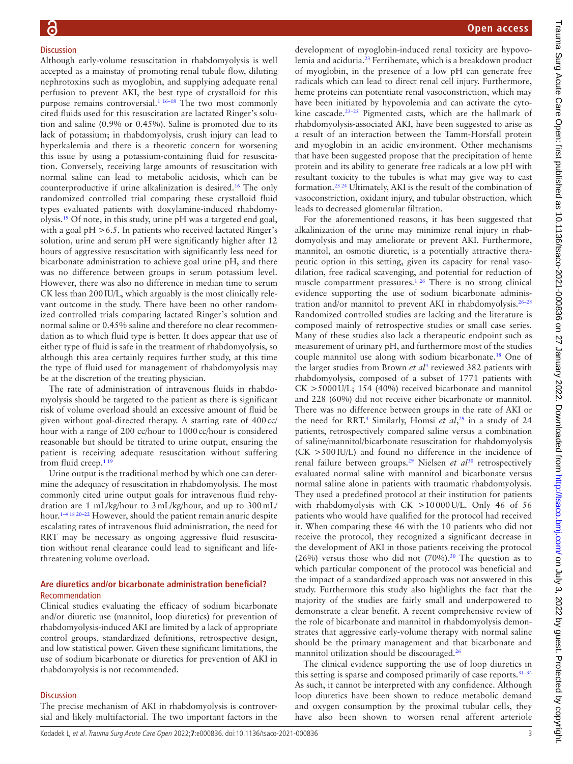# **Discussion**

Although early-volume resuscitation in rhabdomyolysis is well accepted as a mainstay of promoting renal tubule flow, diluting nephrotoxins such as myoglobin, and supplying adequate renal perfusion to prevent AKI, the best type of crystalloid for this purpose remains controversial.<sup>[1 16–18](#page-5-6)</sup> The two most commonly cited fluids used for this resuscitation are lactated Ringer's solution and saline (0.9% or 0.45%). Saline is promoted due to its lack of potassium; in rhabdomyolysis, crush injury can lead to hyperkalemia and there is a theoretic concern for worsening this issue by using a potassium-containing fluid for resuscitation. Conversely, receiving large amounts of resuscitation with normal saline can lead to metabolic acidosis, which can be counterproductive if urine alkalinization is desired.[16](#page-5-12) The only randomized controlled trial comparing these crystalloid fluid types evaluated patients with doxylamine-induced rhabdomyolysis.[19](#page-5-13) Of note, in this study, urine pH was a targeted end goal, with a goal pH > 6.5. In patients who received lactated Ringer's solution, urine and serum pH were significantly higher after 12 hours of aggressive resuscitation with significantly less need for bicarbonate administration to achieve goal urine pH, and there was no difference between groups in serum potassium level. However, there was also no difference in median time to serum CK less than 200IU/L, which arguably is the most clinically relevant outcome in the study. There have been no other randomized controlled trials comparing lactated Ringer's solution and normal saline or 0.45% saline and therefore no clear recommendation as to which fluid type is better. It does appear that use of either type of fluid is safe in the treatment of rhabdomyolysis, so although this area certainly requires further study, at this time the type of fluid used for management of rhabdomyolysis may be at the discretion of the treating physician.

The rate of administration of intravenous fluids in rhabdomyolysis should be targeted to the patient as there is significant risk of volume overload should an excessive amount of fluid be given without goal-directed therapy. A starting rate of 400cc/ hour with a range of 200 cc/hour to 1000cc/hour is considered reasonable but should be titrated to urine output, ensuring the patient is receiving adequate resuscitation without suffering from fluid creep[.1 19](#page-5-6)

Urine output is the traditional method by which one can determine the adequacy of resuscitation in rhabdomyolysis. The most commonly cited urine output goals for intravenous fluid rehydration are 1 mL/kg/hour to 3mL/kg/hour, and up to 300mL/ hour. [1–4 18 20–22](#page-5-6) However, should the patient remain anuric despite escalating rates of intravenous fluid administration, the need for RRT may be necessary as ongoing aggressive fluid resuscitation without renal clearance could lead to significant and lifethreatening volume overload.

# **Are diuretics and/or bicarbonate administration beneficial?** Recommendation

Clinical studies evaluating the efficacy of sodium bicarbonate and/or diuretic use (mannitol, loop diuretics) for prevention of rhabdomyolysis-induced AKI are limited by a lack of appropriate control groups, standardized definitions, retrospective design, and low statistical power. Given these significant limitations, the use of sodium bicarbonate or diuretics for prevention of AKI in rhabdomyolysis is not recommended.

# **Discussion**

The precise mechanism of AKI in rhabdomyolysis is controversial and likely multifactorial. The two important factors in the

development of myoglobin-induced renal toxicity are hypovolemia and aciduria[.23](#page-5-14) Ferrihemate, which is a breakdown product of myoglobin, in the presence of a low pH can generate free radicals which can lead to direct renal cell injury. Furthermore, heme proteins can potentiate renal vasoconstriction, which may have been initiated by hypovolemia and can activate the cytokine cascade.[23–25](#page-5-14) Pigmented casts, which are the hallmark of rhabdomyolysis-associated AKI, have been suggested to arise as a result of an interaction between the Tamm-Horsfall protein and myoglobin in an acidic environment. Other mechanisms that have been suggested propose that the precipitation of heme protein and its ability to generate free radicals at a low pH with resultant toxicity to the tubules is what may give way to cast formation.[23 24](#page-5-14) Ultimately, AKI is the result of the combination of vasoconstriction, oxidant injury, and tubular obstruction, which leads to decreased glomerular filtration.

For the aforementioned reasons, it has been suggested that alkalinization of the urine may minimize renal injury in rhabdomyolysis and may ameliorate or prevent AKI. Furthermore, mannitol, an osmotic diuretic, is a potentially attractive therapeutic option in this setting, given its capacity for renal vasodilation, free radical scavenging, and potential for reduction of muscle compartment pressures.<sup>[1 26](#page-5-6)</sup> There is no strong clinical evidence supporting the use of sodium bicarbonate administration and/or mannitol to prevent AKI in rhabdomyolysis.[26–28](#page-5-15) Randomized controlled studies are lacking and the literature is composed mainly of retrospective studies or small case series. Many of these studies also lack a therapeutic endpoint such as measurement of urinary pH, and furthermore most of the studies couple mannitol use along with sodium bicarbonate.[18](#page-5-16) One of the larger studies from Brown *et al*[4](#page-5-2) reviewed 382 patients with rhabdomyolysis, composed of a subset of 1771 patients with CK >5000U/L; 154 (40%) received bicarbonate and mannitol and 228 (60%) did not receive either bicarbonate or mannitol. There was no difference between groups in the rate of AKI or the need for RRT[.4](#page-5-2) Similarly, Homsi *et al*, [29](#page-5-17) in a study of 24 patients, retrospectively compared saline versus a combination of saline/mannitol/bicarbonate resuscitation for rhabdomyolysis (CK >500IU/L) and found no difference in the incidence of renal failure between groups.[29](#page-5-17) Nielsen *et al*[30](#page-5-18) retrospectively evaluated normal saline with mannitol and bicarbonate versus normal saline alone in patients with traumatic rhabdomyolysis. They used a predefined protocol at their institution for patients with rhabdomyolysis with CK >10000U/L. Only 46 of 56 patients who would have qualified for the protocol had received it. When comparing these 46 with the 10 patients who did not receive the protocol, they recognized a significant decrease in the development of AKI in those patients receiving the protocol (26%) versus those who did not  $(70%)$ .<sup>30</sup> The question as to which particular component of the protocol was beneficial and the impact of a standardized approach was not answered in this study. Furthermore this study also highlights the fact that the majority of the studies are fairly small and underpowered to demonstrate a clear benefit. A recent comprehensive review of the role of bicarbonate and mannitol in rhabdomyolysis demonstrates that aggressive early-volume therapy with normal saline should be the primary management and that bicarbonate and mannitol utilization should be discouraged.<sup>[26](#page-5-15)</sup>

The clinical evidence supporting the use of loop diuretics in this setting is sparse and composed primarily of case reports.  $31-34$ As such, it cannot be interpreted with any confidence. Although loop diuretics have been shown to reduce metabolic demand and oxygen consumption by the proximal tubular cells, they have also been shown to worsen renal afferent arteriole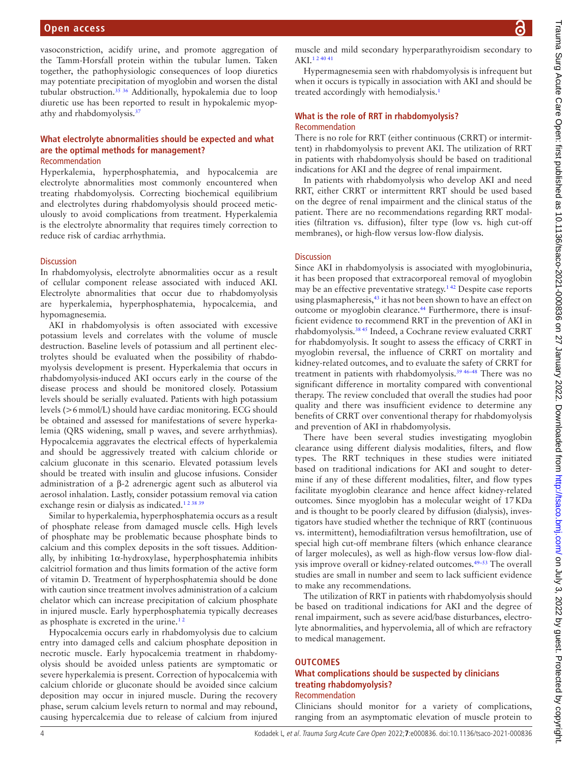vasoconstriction, acidify urine, and promote aggregation of the Tamm-Horsfall protein within the tubular lumen. Taken together, the pathophysiologic consequences of loop diuretics may potentiate precipitation of myoglobin and worsen the distal tubular obstruction.<sup>[35 36](#page-5-20)</sup> Additionally, hypokalemia due to loop diuretic use has been reported to result in hypokalemic myopathy and rhabdomyolysis.[37](#page-6-0)

# **What electrolyte abnormalities should be expected and what are the optimal methods for management?** Recommendation

Hyperkalemia, hyperphosphatemia, and hypocalcemia are electrolyte abnormalities most commonly encountered when treating rhabdomyolysis. Correcting biochemical equilibrium and electrolytes during rhabdomyolysis should proceed meticulously to avoid complications from treatment. Hyperkalemia is the electrolyte abnormality that requires timely correction to reduce risk of cardiac arrhythmia.

#### **Discussion**

In rhabdomyolysis, electrolyte abnormalities occur as a result of cellular component release associated with induced AKI. Electrolyte abnormalities that occur due to rhabdomyolysis are hyperkalemia, hyperphosphatemia, hypocalcemia, and hypomagnesemia.

AKI in rhabdomyolysis is often associated with excessive potassium levels and correlates with the volume of muscle destruction. Baseline levels of potassium and all pertinent electrolytes should be evaluated when the possibility of rhabdomyolysis development is present. Hyperkalemia that occurs in rhabdomyolysis-induced AKI occurs early in the course of the disease process and should be monitored closely. Potassium levels should be serially evaluated. Patients with high potassium levels (>6mmol/L) should have cardiac monitoring. ECG should be obtained and assessed for manifestations of severe hyperkalemia (QRS widening, small p waves, and severe arrhythmias). Hypocalcemia aggravates the electrical effects of hyperkalemia and should be aggressively treated with calcium chloride or calcium gluconate in this scenario. Elevated potassium levels should be treated with insulin and glucose infusions. Consider administration of a β-2 adrenergic agent such as albuterol via aerosol inhalation. Lastly, consider potassium removal via cation exchange resin or dialysis as indicated.<sup>123839</sup>

Similar to hyperkalemia, hyperphosphatemia occurs as a result of phosphate release from damaged muscle cells. High levels of phosphate may be problematic because phosphate binds to calcium and this complex deposits in the soft tissues. Additionally, by inhibiting  $1\alpha$ -hydroxylase, hyperphosphatemia inhibits calcitriol formation and thus limits formation of the active form of vitamin D. Treatment of hyperphosphatemia should be done with caution since treatment involves administration of a calcium chelator which can increase precipitation of calcium phosphate in injured muscle. Early hyperphosphatemia typically decreases as phosphate is excreted in the urine.<sup>12</sup>

Hypocalcemia occurs early in rhabdomyolysis due to calcium entry into damaged cells and calcium phosphate deposition in necrotic muscle. Early hypocalcemia treatment in rhabdomyolysis should be avoided unless patients are symptomatic or severe hyperkalemia is present. Correction of hypocalcemia with calcium chloride or gluconate should be avoided since calcium deposition may occur in injured muscle. During the recovery phase, serum calcium levels return to normal and may rebound, causing hypercalcemia due to release of calcium from injured

muscle and mild secondary hyperparathyroidism secondary to AKI.[1 2 40 41](#page-5-6)

Hypermagnesemia seen with rhabdomyolysis is infrequent but when it occurs is typically in association with AKI and should be treated accordingly with hemodialysis.<sup>[1](#page-5-6)</sup>

# **What is the role of RRT in rhabdomyolysis?** Recommendation

There is no role for RRT (either continuous (CRRT) or intermittent) in rhabdomyolysis to prevent AKI. The utilization of RRT in patients with rhabdomyolysis should be based on traditional indications for AKI and the degree of renal impairment.

In patients with rhabdomyolysis who develop AKI and need RRT, either CRRT or intermittent RRT should be used based on the degree of renal impairment and the clinical status of the patient. There are no recommendations regarding RRT modalities (filtration vs. diffusion), filter type (low vs. high cut-off membranes), or high-flow versus low-flow dialysis.

# **Discussion**

Since AKI in rhabdomyolysis is associated with myoglobinuria, it has been proposed that extracorporeal removal of myoglobin may be an effective preventative strategy.[1 42](#page-5-6) Despite case reports using plasmapheresis,<sup>43</sup> it has not been shown to have an effect on outcome or myoglobin clearance.[44](#page-6-2) Furthermore, there is insufficient evidence to recommend RRT in the prevention of AKI in rhabdomyolysis[.38 45](#page-6-3) Indeed, a Cochrane review evaluated CRRT for rhabdomyolysis. It sought to assess the efficacy of CRRT in myoglobin reversal, the influence of CRRT on mortality and kidney-related outcomes, and to evaluate the safety of CRRT for treatment in patients with rhabdomyolysis.[39 46–48](#page-6-4) There was no significant difference in mortality compared with conventional therapy. The review concluded that overall the studies had poor quality and there was insufficient evidence to determine any benefits of CRRT over conventional therapy for rhabdomyolysis and prevention of AKI in rhabdomyolysis.

There have been several studies investigating myoglobin clearance using different dialysis modalities, filters, and flow types. The RRT techniques in these studies were initiated based on traditional indications for AKI and sought to determine if any of these different modalities, filter, and flow types facilitate myoglobin clearance and hence affect kidney-related outcomes. Since myoglobin has a molecular weight of 17KDa and is thought to be poorly cleared by diffusion (dialysis), investigators have studied whether the technique of RRT (continuous vs. intermittent), hemodiafiltration versus hemofiltration, use of special high cut-off membrane filters (which enhance clearance of larger molecules), as well as high-flow versus low-flow dialysis improve overall or kidney-related outcomes.[49–53](#page-6-5) The overall studies are small in number and seem to lack sufficient evidence to make any recommendations.

The utilization of RRT in patients with rhabdomyolysis should be based on traditional indications for AKI and the degree of renal impairment, such as severe acid/base disturbances, electrolyte abnormalities, and hypervolemia, all of which are refractory to medical management.

# **OUTCOMES**

### **What complications should be suspected by clinicians treating rhabdomyolysis?** Recommendation

Clinicians should monitor for a variety of complications, ranging from an asymptomatic elevation of muscle protein to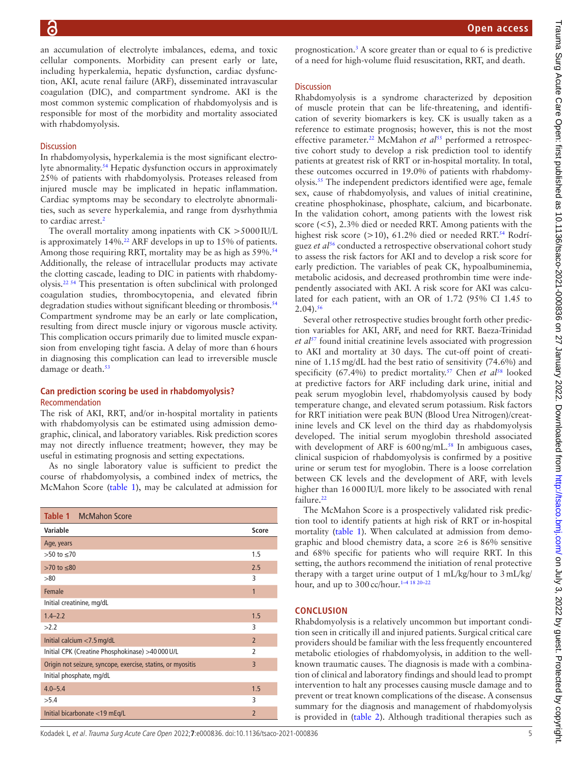an accumulation of electrolyte imbalances, edema, and toxic cellular components. Morbidity can present early or late, including hyperkalemia, hepatic dysfunction, cardiac dysfunction, AKI, acute renal failure (ARF), disseminated intravascular coagulation (DIC), and compartment syndrome. AKI is the most common systemic complication of rhabdomyolysis and is responsible for most of the morbidity and mortality associated with rhabdomyolysis.

# **Discussion**

In rhabdomyolysis, hyperkalemia is the most significant electrolyte abnormality.[54](#page-6-6) Hepatic dysfunction occurs in approximately 25% of patients with rhabdomyolysis. Proteases released from injured muscle may be implicated in hepatic inflammation. Cardiac symptoms may be secondary to electrolyte abnormalities, such as severe hyperkalemia, and range from dysrhythmia to cardiac arrest.<sup>[2](#page-5-0)</sup>

The overall mortality among inpatients with  $CK > 5000$  IU/L is approximately  $14\%$ .<sup>22</sup> ARF develops in up to  $15\%$  of patients. Among those requiring RRT, mortality may be as high as 59%.<sup>[54](#page-6-6)</sup> Additionally, the release of intracellular products may activate the clotting cascade, leading to DIC in patients with rhabdomyolysis.[22 54](#page-5-21) This presentation is often subclinical with prolonged coagulation studies, thrombocytopenia, and elevated fibrin degradation studies without significant bleeding or thrombosis.<sup>[54](#page-6-6)</sup> Compartment syndrome may be an early or late complication, resulting from direct muscle injury or vigorous muscle activity. This complication occurs primarily due to limited muscle expansion from enveloping tight fascia. A delay of more than 6hours in diagnosing this complication can lead to irreversible muscle damage or death.<sup>[53](#page-6-7)</sup>

# **Can prediction scoring be used in rhabdomyolysis?** Recommendation

The risk of AKI, RRT, and/or in-hospital mortality in patients with rhabdomyolysis can be estimated using admission demographic, clinical, and laboratory variables. Risk prediction scores may not directly influence treatment; however, they may be useful in estimating prognosis and setting expectations.

As no single laboratory value is sufficient to predict the course of rhabdomyolysis, a combined index of metrics, the McMahon Score [\(table](#page-4-0) 1), may be calculated at admission for

<span id="page-4-0"></span>

| <b>Table 1 McMahon Score</b>                                |                |
|-------------------------------------------------------------|----------------|
| Variable                                                    | Score          |
| Age, years                                                  |                |
| $>50$ to $\leq 70$                                          | 1.5            |
| $>70$ to $\leq 80$                                          | 2.5            |
| > 80                                                        | 3              |
| Female                                                      | 1              |
| Initial creatinine, mg/dL                                   |                |
| $1.4 - 2.2$                                                 | 1.5            |
| >2.2                                                        | 3              |
| Initial calcium $<$ 7.5 mg/dL                               | $\overline{2}$ |
| Initial CPK (Creatine Phosphokinase) >40 000 U/L            | $\overline{2}$ |
| Origin not seizure, syncope, exercise, statins, or myositis | 3              |
| Initial phosphate, mg/dL                                    |                |
| $4.0 - 5.4$                                                 | 1.5            |
| >5.4                                                        | 3              |
| Initial bicarbonate $<$ 19 mEq/L                            | $\overline{2}$ |

prognostication.[3](#page-5-1) A score greater than or equal to 6 is predictive of a need for high-volume fluid resuscitation, RRT, and death.

# **Discussion**

Rhabdomyolysis is a syndrome characterized by deposition of muscle protein that can be life-threatening, and identification of severity biomarkers is key. CK is usually taken as a reference to estimate prognosis; however, this is not the most effective parameter.<sup>22</sup> McMahon *et al*<sup>55</sup> performed a retrospective cohort study to develop a risk prediction tool to identify patients at greatest risk of RRT or in-hospital mortality. In total, these outcomes occurred in 19.0% of patients with rhabdomyolysis[.55](#page-6-8) The independent predictors identified were age, female sex, cause of rhabdomyolysis, and values of initial creatinine, creatine phosphokinase, phosphate, calcium, and bicarbonate. In the validation cohort, among patients with the lowest risk score (<5), 2.3% died or needed RRT. Among patients with the highest risk score (>10), 61.2% died or needed RRT.<sup>54</sup> Rodríguez *et al*[56](#page-6-9) conducted a retrospective observational cohort study to assess the risk factors for AKI and to develop a risk score for early prediction. The variables of peak CK, hypoalbuminemia, metabolic acidosis, and decreased prothrombin time were independently associated with AKI. A risk score for AKI was calculated for each patient, with an OR of 1.72 (95% CI 1.45 to  $2.04$ ).<sup>[56](#page-6-9)</sup>

Several other retrospective studies brought forth other prediction variables for AKI, ARF, and need for RRT. Baeza-Trinidad *et al*[57](#page-6-10) found initial creatinine levels associated with progression to AKI and mortality at 30 days. The cut-off point of creatinine of 1.15mg/dL had the best ratio of sensitivity (74.6%) and specificity (67.4%) to predict mortality.<sup>[57](#page-6-10)</sup> Chen et al<sup>58</sup> looked at predictive factors for ARF including dark urine, initial and peak serum myoglobin level, rhabdomyolysis caused by body temperature change, and elevated serum potassium. Risk factors for RRT initiation were peak BUN (Blood Urea Nitrogen)/creatinine levels and CK level on the third day as rhabdomyolysis developed. The initial serum myoglobin threshold associated with development of ARF is 600 ng/mL.<sup>58</sup> In ambiguous cases, clinical suspicion of rhabdomyolysis is confirmed by a positive urine or serum test for myoglobin. There is a loose correlation between CK levels and the development of ARF, with levels higher than 16000IU/L more likely to be associated with renal failure.<sup>[22](#page-5-21)</sup>

The McMahon Score is a prospectively validated risk prediction tool to identify patients at high risk of RRT or in-hospital mortality ([table](#page-4-0) 1). When calculated at admission from demographic and blood chemistry data, a score  $\geq 6$  is 86% sensitive and 68% specific for patients who will require RRT. In this setting, the authors recommend the initiation of renal protective therapy with a target urine output of 1 mL/kg/hour to 3mL/kg/ hour, and up to 300cc/hour. [1–4 18 20–22](#page-5-6)

# **CONCLUSION**

Rhabdomyolysis is a relatively uncommon but important condition seen in critically ill and injured patients. Surgical critical care providers should be familiar with the less frequently encountered metabolic etiologies of rhabdomyolysis, in addition to the wellknown traumatic causes. The diagnosis is made with a combination of clinical and laboratory findings and should lead to prompt intervention to halt any processes causing muscle damage and to prevent or treat known complications of the disease. A consensus summary for the diagnosis and management of rhabdomyolysis is provided in ([table](#page-5-22) 2). Although traditional therapies such as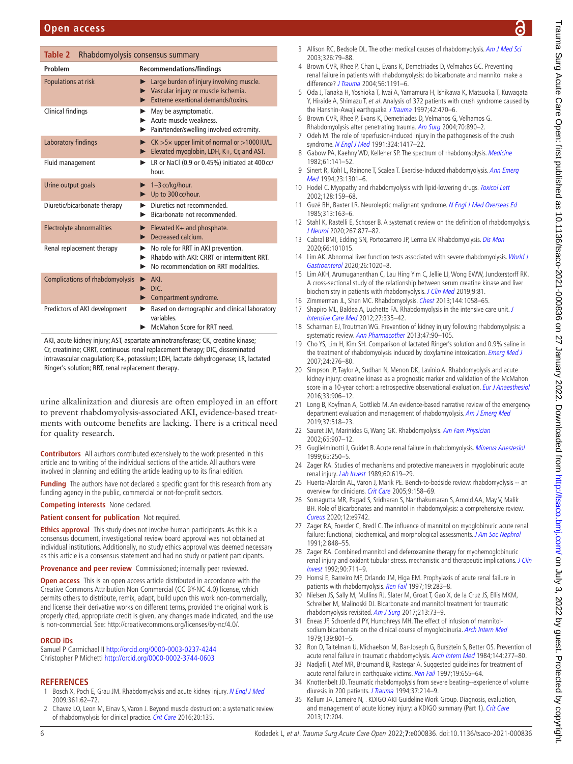<span id="page-5-22"></span>

| Table 2<br>Rhabdomyolysis consensus summary |                                                                                                                                             |  |
|---------------------------------------------|---------------------------------------------------------------------------------------------------------------------------------------------|--|
| Problem                                     | <b>Recommendations/findings</b>                                                                                                             |  |
| Populations at risk                         | $\blacktriangleright$ Large burden of injury involving muscle.<br>Vascular injury or muscle ischemia.<br>Extreme exertional demands/toxins. |  |
| Clinical findings                           | May be asymptomatic.<br>Acute muscle weakness.<br>Pain/tender/swelling involved extremity.                                                  |  |
| Laboratory findings                         | $CK > 5 \times$ upper limit of normal or $>1000$ IU/L.<br>Elevated myoglobin, LDH, K+, Cr, and AST.                                         |  |
| Fluid management                            | LR or NaCl (0.9 or 0.45%) initiated at 400 cc/<br>hour.                                                                                     |  |
| Urine output goals                          | 1-3 cc/kg/hour.<br>Up to 300 cc/hour.                                                                                                       |  |
| Diuretic/bicarbonate therapy                | Diuretics not recommended.<br>▶<br>Bicarbonate not recommended.                                                                             |  |
| Electrolyte abnormalities                   | Elevated $K+$ and phosphate.<br>$\blacktriangleright$<br>Decreased calcium.                                                                 |  |
| Renal replacement therapy                   | No role for RRT in AKI prevention.<br>Rhabdo with AKI: CRRT or intermittent RRT.<br>No recommendation on RRT modalities.                    |  |
| <b>Complications of rhabdomyolysis</b>      | AKI.<br>DIC.<br>Compartment syndrome.<br>▶                                                                                                  |  |
| Predictors of AKI development               | Based on demographic and clinical laboratory<br>▶<br>variables<br>McMahon Score for RRT need.                                               |  |

AKI, acute kidney injury; AST, aspartate aminotransferase; CK, creatine kinase; Cr, creatinine; CRRT, continuous renal replacement therapy; DIC, disseminated intravascular coagulation; K+, potassium; LDH, lactate dehydrogenase; LR, lactated Ringer's solution; RRT, renal replacement therapy.

urine alkalinization and diuresis are often employed in an effort to prevent rhabdomyolysis-associated AKI, evidence-based treatments with outcome benefits are lacking. There is a critical need for quality research.

**Contributors** All authors contributed extensively to the work presented in this article and to writing of the individual sections of the article. All authors were involved in planning and editing the article leading up to its final edition.

**Funding** The authors have not declared a specific grant for this research from any funding agency in the public, commercial or not-for-profit sectors.

#### **Competing interests** None declared.

**Patient consent for publication** Not required.

**Ethics approval** This study does not involve human participants. As this is a consensus document, investigational review board approval was not obtained at individual institutions. Additionally, no study ethics approval was deemed necessary as this article is a consensus statement and had no study or patient participants.

**Provenance and peer review** Commissioned; internally peer reviewed.

**Open access** This is an open access article distributed in accordance with the Creative Commons Attribution Non Commercial (CC BY-NC 4.0) license, which permits others to distribute, remix, adapt, build upon this work non-commercially, and license their derivative works on different terms, provided the original work is properly cited, appropriate credit is given, any changes made indicated, and the use is non-commercial. See: <http://creativecommons.org/licenses/by-nc/4.0/>.

#### **ORCID iDs**

Samuel P Carmichael II <http://orcid.org/0000-0003-0237-4244> Christopher P Michetti <http://orcid.org/0000-0002-3744-0603>

#### **REFERENCES**

- <span id="page-5-6"></span>Bosch X, Poch E, Grau JM. Rhabdomyolysis and acute kidney injury. [N Engl J Med](http://dx.doi.org/10.1056/NEJMra0801327) 2009;361:62–72.
- <span id="page-5-0"></span>2 Chavez LO, Leon M, Einav S, Varon J. Beyond muscle destruction: a systematic review of rhabdomyolysis for clinical practice. [Crit Care](http://dx.doi.org/10.1186/s13054-016-1314-5) 2016;20:135.
- <span id="page-5-1"></span>3 Allison RC, Bedsole DL. The other medical causes of rhabdomyolysis. [Am J Med Sci](http://dx.doi.org/10.1097/00000441-200308000-00005) 2003;326:79–88.
- <span id="page-5-2"></span>4 Brown CVR, Rhee P, Chan L, Evans K, Demetriades D, Velmahos GC. Preventing renal failure in patients with rhabdomyolysis: do bicarbonate and mannitol make a difference? [J Trauma](http://dx.doi.org/10.1097/01.TA.0000130761.78627.10) 2004;56:1191–6.
- <span id="page-5-3"></span>5 Oda J, Tanaka H, Yoshioka T, Iwai A, Yamamura H, Ishikawa K, Matsuoka T, Kuwagata Y, Hiraide A, Shimazu T, et al. Analysis of 372 patients with crush syndrome caused by the Hanshin-Awaji earthquake. [J Trauma](http://dx.doi.org/10.1097/00005373-199703000-00015) 1997;42:470-6.
- 6 Brown CVR, Rhee P, Evans K, Demetriades D, Velmahos G, Velhamos G. Rhabdomyolysis after penetrating trauma. [Am Surg](http://www.ncbi.nlm.nih.gov/pubmed/15529844) 2004;70:890–2.
- <span id="page-5-4"></span>7 Odeh M. The role of reperfusion-induced injury in the pathogenesis of the crush syndrome. [N Engl J Med](http://dx.doi.org/10.1056/NEJM199105163242007) 1991;324:1417-22.
- <span id="page-5-5"></span>8 Gabow PA, Kaehny WD, Kelleher SP. The spectrum of rhabdomyolysis. [Medicine](http://dx.doi.org/10.1097/00005792-198205000-00002) 1982;61:141–52.
- <span id="page-5-7"></span>9 Sinert R, Kohl L, Rainone T, Scalea T. Exercise-Induced rhabdomyolysis. Ann Emerg [Med](http://dx.doi.org/10.1016/S0196-0644(94)70356-6) 1994;23:1301–6.
- <span id="page-5-8"></span>10 Hodel C. Myopathy and rhabdomyolysis with lipid-lowering drugs. [Toxicol Lett](http://dx.doi.org/10.1016/S0378-4274(02)00010-3) 2002;128:159–68.
- <span id="page-5-9"></span>11 Guzé BH, Baxter LR. Neuroleptic malignant syndrome. [N Engl J Med Overseas Ed](http://dx.doi.org/10.1056/NEJM198507183130306) 1985;313:163–6.
- <span id="page-5-10"></span>12 Stahl K, Rastelli E, Schoser B. A systematic review on the definition of rhabdomyolysis. [J Neurol](http://dx.doi.org/10.1007/s00415-019-09185-4) 2020;267:877–82.
- <span id="page-5-11"></span>13 Cabral BMI, Edding SN, Portocarrero JP, Lerma EV. Rhabdomyolysis. [Dis Mon](http://dx.doi.org/10.1016/j.disamonth.2020.101015) 2020;66:101015.
- 14 Lim AK. Abnormal liver function tests associated with severe rhabdomyolysis. World J [Gastroenterol](http://dx.doi.org/10.3748/wjg.v26.i10.1020) 2020;26:1020–8.
- 15 Lim AKH, Arumugananthan C, Lau Hing Yim C, Jellie LJ, Wong EWW, Junckerstorff RK. A cross-sectional study of the relationship between serum creatine kinase and liver biochemistry in patients with rhabdomyolysis. [J Clin Med](http://dx.doi.org/10.3390/jcm9010081) 2019;9:81.
- <span id="page-5-12"></span>16 Zimmerman JL, Shen MC. Rhabdomyolysis. [Chest](http://dx.doi.org/10.1378/chest.12-2016) 2013;144:1058-65
- 17 Shapiro ML, Baldea A, Luchette FA. Rhabdomyolysis in the intensive care unit. J [Intensive Care Med](http://dx.doi.org/10.1177/0885066611402150) 2012;27:335–42.
- <span id="page-5-16"></span>18 Scharman EJ, Troutman WG. Prevention of kidney injury following rhabdomyolysis: a systematic review. [Ann Pharmacother](http://dx.doi.org/10.1345/aph.1R215) 2013;47:90-105.
- <span id="page-5-13"></span>19 Cho YS, Lim H, Kim SH. Comparison of lactated Ringer's solution and 0.9% saline in the treatment of rhabdomyolysis induced by doxylamine intoxication. [Emerg Med J](http://dx.doi.org/10.1136/emj.2006.043265) 2007;24:276–80.
- 20 Simpson JP, Taylor A, Sudhan N, Menon DK, Lavinio A. Rhabdomyolysis and acute kidney injury: creatine kinase as a prognostic marker and validation of the McMahon score in a 10-year cohort: a retrospective observational evaluation. [Eur J Anaesthesiol](http://dx.doi.org/10.1097/EJA.0000000000000490) 2016;33:906–12.
- 21 Long B, Koyfman A, Gottlieb M. An evidence-based narrative review of the emergency department evaluation and management of rhabdomyolysis. [Am J Emerg Med](http://dx.doi.org/10.1016/j.ajem.2018.12.061) 2019;37:518–23.
- <span id="page-5-21"></span>22 Sauret JM, Marinides G, Wang GK. Rhabdomyolysis. [Am Fam Physician](http://www.ncbi.nlm.nih.gov/pubmed/11898964) 2002;65:907–12.
- <span id="page-5-14"></span>23 Guglielminotti J, Guidet B. Acute renal failure in rhabdomyolysis. [Minerva Anestesiol](http://www.ncbi.nlm.nih.gov/pubmed/10389400) 1999;65:250–5.
- 24 Zager RA. Studies of mechanisms and protective maneuvers in myoglobinuric acute renal injury. [Lab Invest](http://www.ncbi.nlm.nih.gov/pubmed/2716281) 1989;60:619–29.
- 25 Huerta-Alardín AL, Varon J, Marik PE. Bench-to-bedside review: rhabdomyolysis -- an overview for clinicians. [Crit Care](http://dx.doi.org/10.1186/cc2978) 2005;9:158–69.
- <span id="page-5-15"></span>26 Somagutta MR, Pagad S, Sridharan S, Nanthakumaran S, Arnold AA, May V, Malik BH. Role of Bicarbonates and mannitol in rhabdomyolysis: a comprehensive review. [Cureus](http://dx.doi.org/10.7759/cureus.9742) 2020;12:e9742.
- 27 Zager RA, Foerder C, Bredl C. The influence of mannitol on myoglobinuric acute renal failure: functional, biochemical, and morphological assessments. [J Am Soc Nephrol](http://dx.doi.org/10.1681/ASN.V24848) 1991;2:848–55.
- 28 Zager RA. Combined mannitol and deferoxamine therapy for myohemoglobinuric renal injury and oxidant tubular stress. mechanistic and therapeutic implications. [J Clin](http://dx.doi.org/10.1172/JCI115942) [Invest](http://dx.doi.org/10.1172/JCI115942) 1992;90:711–9.
- <span id="page-5-17"></span>29 Homsi E, Barreiro MF, Orlando JM, Higa EM. Prophylaxis of acute renal failure in patients with rhabdomyolysis. [Ren Fail](http://dx.doi.org/10.3109/08860229709026290) 1997;19:283-8.
- <span id="page-5-18"></span>30 Nielsen JS, Sally M, Mullins RJ, Slater M, Groat T, Gao X, de la Cruz JS, Ellis MKM, Schreiber M, Malinoski DJ. Bicarbonate and mannitol treatment for traumatic rhabdomyolysis revisited. [Am J Surg](http://dx.doi.org/10.1016/j.amjsurg.2016.03.017) 2017;213:73-9.
- <span id="page-5-19"></span>31 Eneas JF, Schoenfeld PY, Humphreys MH. The effect of infusion of mannitol-sodium bicarbonate on the clinical course of myoglobinuria. [Arch Intern Med](http://dx.doi.org/10.1001/archinte.1979.03630440059020) 1979;139:801–5.
- 32 Ron D, Taitelman U, Michaelson M, Bar-Joseph G, Bursztein S, Better OS. Prevention of acute renal failure in traumatic rhabdomyolysis. [Arch Intern Med](http://dx.doi.org/10.1001/archinte.1984.00350140077012) 1984;144:277-80.
- 33 Nadjafi I, Atef MR, Broumand B, Rastegar A. Suggested guidelines for treatment of acute renal failure in earthquake victims. [Ren Fail](http://dx.doi.org/10.3109/08860229709109031) 1997;19:655-64.
- 34 Knottenbelt JD. Traumatic rhabdomyolysis from severe beating--experience of volume diuresis in 200 patients. [J Trauma](http://dx.doi.org/10.1097/00005373-199408000-00011) 1994;37:214-9.
- <span id="page-5-20"></span>35 Kellum JA, Lameire N, . KDIGO AKI Guideline Work Group. Diagnosis, evaluation, and management of acute kidney injury: a KDIGO summary (Part 1). [Crit Care](http://dx.doi.org/10.1186/cc11454) 2013;17:204.